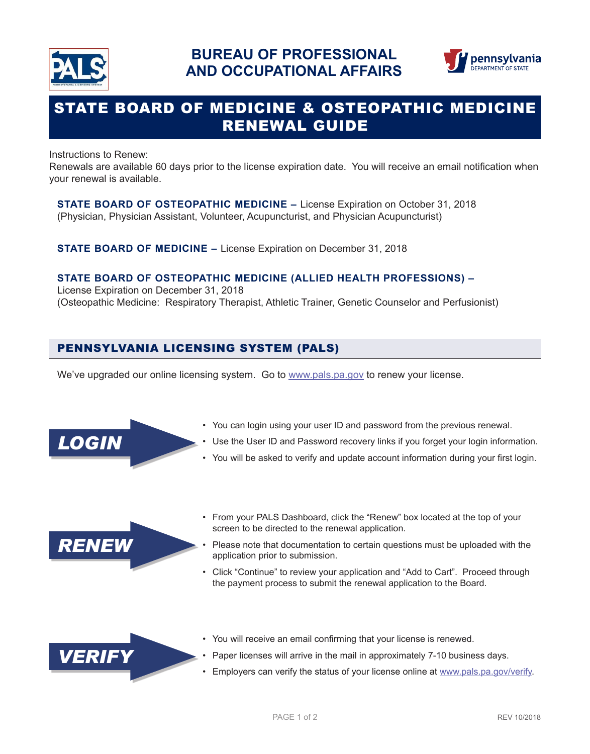



# STATE BOARD OF MEDICINE & OSTEOPATHIC MEDICINE RENEWAL GUIDE

Instructions to Renew:

Renewals are available 60 days prior to the license expiration date. You will receive an email notification when your renewal is available.

**STATE BOARD OF OSTEOPATHIC MEDICINE –** License Expiration on October 31, 2018 (Physician, Physician Assistant, Volunteer, Acupuncturist, and Physician Acupuncturist)

**STATE BOARD OF MEDICINE –** License Expiration on December 31, 2018

#### **STATE BOARD OF OSTEOPATHIC MEDICINE (ALLIED HEALTH PROFESSIONS) –**

License Expiration on December 31, 2018 (Osteopathic Medicine: Respiratory Therapist, Athletic Trainer, Genetic Counselor and Perfusionist)

## PENNSYLVANIA LICENSING SYSTEM (PALS)

We've upgraded our online licensing system. Go to www.pals.pa.gov to renew your license.



- You can login using your user ID and password from the previous renewal.
- Use the User ID and Password recovery links if you forget your login information.
- You will be asked to verify and update account information during your first login.



• From your PALS Dashboard, click the "Renew" box located at the top of your screen to be directed to the renewal application.

• Please note that documentation to certain questions must be uploaded with the application prior to submission.

• Click "Continue" to review your application and "Add to Cart". Proceed through the payment process to submit the renewal application to the Board.



- You will receive an email confirming that your license is renewed.
- Paper licenses will arrive in the mail in approximately 7-10 business days.
- Employers can verify the status of your license online at www.pals.pa.gov/verify.